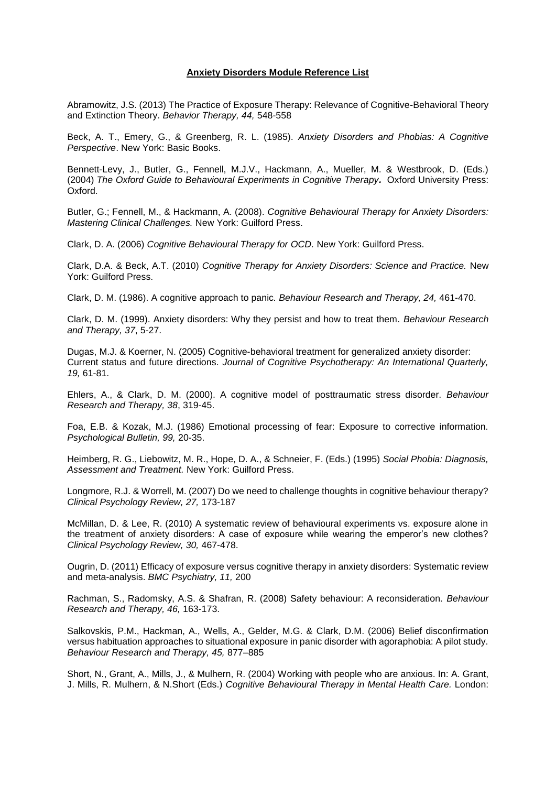## **Anxiety Disorders Module Reference List**

Abramowitz, J.S. (2013) The Practice of Exposure Therapy: Relevance of Cognitive-Behavioral Theory and Extinction Theory. *Behavior Therapy, 44,* 548-558

Beck, A. T., Emery, G., & Greenberg, R. L. (1985). *Anxiety Disorders and Phobias: A Cognitive Perspective*. New York: Basic Books.

Bennett-Levy, J., Butler, G., Fennell, M.J.V., Hackmann, A., Mueller, M. & Westbrook, D. (Eds.) (2004) *The Oxford Guide to Behavioural Experiments in Cognitive Therapy.* Oxford University Press: Oxford.

Butler, G.; Fennell, M., & Hackmann, A. (2008). *Cognitive Behavioural Therapy for Anxiety Disorders: Mastering Clinical Challenges.* New York: Guilford Press.

Clark, D. A. (2006) *Cognitive Behavioural Therapy for OCD.* New York: Guilford Press.

Clark, D.A. & Beck, A.T. (2010) *Cognitive Therapy for Anxiety Disorders: Science and Practice.* New York: Guilford Press.

Clark, D. M. (1986). A cognitive approach to panic*. Behaviour Research and Therapy, 24,* 461-470.

Clark, D. M. (1999). Anxiety disorders: Why they persist and how to treat them. *Behaviour Research and Therapy, 37*, 5-27.

Dugas, M.J. & Koerner, N. (2005) Cognitive-behavioral treatment for generalized anxiety disorder: Current status and future directions. *Journal of Cognitive Psychotherapy: An International Quarterly, 19,* 61-81.

Ehlers, A., & Clark, D. M. (2000). A cognitive model of posttraumatic stress disorder. *Behaviour Research and Therapy, 38*, 319-45.

Foa, E.B. & Kozak, M.J. (1986) Emotional processing of fear: Exposure to corrective information. *Psychological Bulletin, 99,* 20-35.

Heimberg, R. G., Liebowitz, M. R., Hope, D. A., & Schneier, F. (Eds.) (1995) *Social Phobia: Diagnosis, Assessment and Treatment.* New York: Guilford Press.

Longmore, R.J. & Worrell, M. (2007) Do we need to challenge thoughts in cognitive behaviour therapy? *Clinical Psychology Review, 27,* 173-187

McMillan, D. & Lee, R. (2010) A systematic review of behavioural experiments vs. exposure alone in the treatment of anxiety disorders: A case of exposure while wearing the emperor's new clothes? *Clinical Psychology Review, 30,* 467-478.

Ougrin, D. (2011) Efficacy of exposure versus cognitive therapy in anxiety disorders: Systematic review and meta-analysis. *BMC Psychiatry, 11,* 200

Rachman, S., Radomsky, A.S. & Shafran, R. (2008) Safety behaviour: A reconsideration. *Behaviour Research and Therapy, 46,* 163-173.

Salkovskis, P.M., Hackman, A., Wells, A., Gelder, M.G. & Clark, D.M. (2006) Belief disconfirmation versus habituation approaches to situational exposure in panic disorder with agoraphobia: A pilot study. *Behaviour Research and Therapy, 45,* 877–885

Short, N., Grant, A., Mills, J., & Mulhern, R. (2004) Working with people who are anxious. In: A. Grant, J. Mills, R. Mulhern, & N.Short (Eds.) *Cognitive Behavioural Therapy in Mental Health Care.* London: